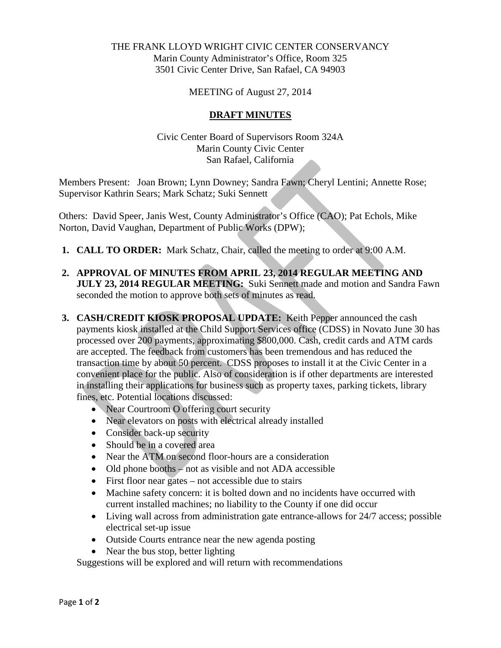### THE FRANK LLOYD WRIGHT CIVIC CENTER CONSERVANCY Marin County Administrator's Office, Room 325 3501 Civic Center Drive, San Rafael, CA 94903

MEETING of August 27, 2014

#### **DRAFT MINUTES**

Civic Center Board of Supervisors Room 324A Marin County Civic Center San Rafael, California

Members Present: Joan Brown; Lynn Downey; Sandra Fawn; Cheryl Lentini; Annette Rose; Supervisor Kathrin Sears; Mark Schatz; Suki Sennett

Others: David Speer, Janis West, County Administrator's Office (CAO); Pat Echols, Mike Norton, David Vaughan, Department of Public Works (DPW);

- **1. CALL TO ORDER:** Mark Schatz, Chair, called the meeting to order at 9:00 A.M.
- **2. APPROVAL OF MINUTES FROM APRIL 23, 2014 REGULAR MEETING AND JULY 23, 2014 REGULAR MEETING:** Suki Sennett made and motion and Sandra Fawn seconded the motion to approve both sets of minutes as read.
- **3. CASH/CREDIT KIOSK PROPOSAL UPDATE:** Keith Pepper announced the cash payments kiosk installed at the Child Support Services office (CDSS) in Novato June 30 has processed over 200 payments, approximating \$800,000. Cash, credit cards and ATM cards are accepted. The feedback from customers has been tremendous and has reduced the transaction time by about 50 percent. CDSS proposes to install it at the Civic Center in a convenient place for the public. Also of consideration is if other departments are interested in installing their applications for business such as property taxes, parking tickets, library fines, etc. Potential locations discussed:
	- Near Courtroom O offering court security
	- Near elevators on posts with electrical already installed
	- Consider back-up security
	- Should be in a covered area
	- Near the ATM on second floor-hours are a consideration
	- Old phone booths not as visible and not ADA accessible
	- First floor near gates not accessible due to stairs
	- Machine safety concern: it is bolted down and no incidents have occurred with current installed machines; no liability to the County if one did occur
	- Living wall across from administration gate entrance-allows for 24/7 access; possible electrical set-up issue
	- Outside Courts entrance near the new agenda posting
	- Near the bus stop, better lighting

Suggestions will be explored and will return with recommendations